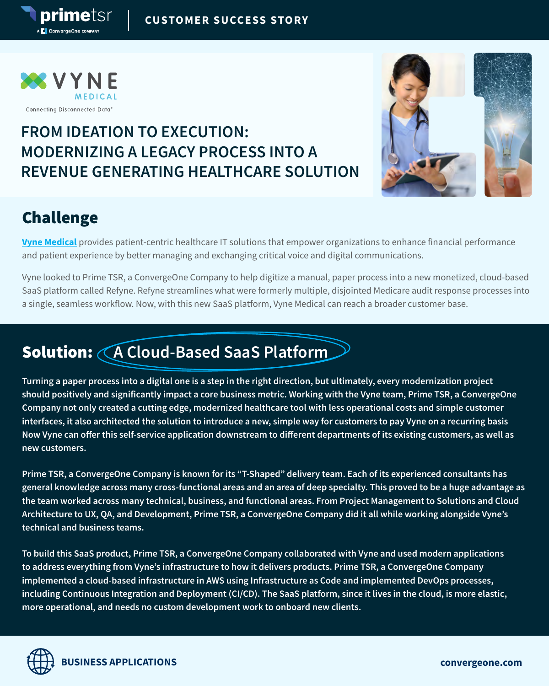

primetsr

**C** ConvergeOne com

### **FROM IDEATION TO EXECUTION: MODERNIZING A LEGACY PROCESS INTO A REVENUE GENERATING HEALTHCARE SOLUTION**



### Challenge

**[Vyne Medical](https://vynemedical.com/)** provides patient-centric healthcare IT solutions that empower organizations to enhance financial performance and patient experience by better managing and exchanging critical voice and digital communications.

Vyne looked to Prime TSR, a ConvergeOne Company to help digitize a manual, paper process into a new monetized, cloud-based SaaS platform called Refyne. Refyne streamlines what were formerly multiple, disjointed Medicare audit response processes into a single, seamless workflow. Now, with this new SaaS platform, Vyne Medical can reach a broader customer base.

# Solution: **A Cloud-Based SaaS Platform**

**Turning a paper process into a digital one is a step in the right direction, but ultimately, every modernization project should positively and significantly impact a core business metric. Working with the Vyne team, Prime TSR, a ConvergeOne Company not only created a cutting edge, modernized healthcare tool with less operational costs and simple customer interfaces, it also architected the solution to introduce a new, simple way for customers to pay Vyne on a recurring basis Now Vyne can offer this self-service application downstream to different departments of its existing customers, as well as new customers.**

**Prime TSR, a ConvergeOne Company is known for its "T-Shaped" delivery team. Each of its experienced consultants has general knowledge across many cross-functional areas and an area of deep specialty. This proved to be a huge advantage as the team worked across many technical, business, and functional areas. From Project Management to Solutions and Cloud Architecture to UX, QA, and Development, Prime TSR, a ConvergeOne Company did it all while working alongside Vyne's technical and business teams.**

**To build this SaaS product, Prime TSR, a ConvergeOne Company collaborated with Vyne and used modern applications to address everything from Vyne's infrastructure to how it delivers products. Prime TSR, a ConvergeOne Company implemented a cloud-based infrastructure in AWS using Infrastructure as Code and implemented DevOps processes, including Continuous Integration and Deployment (CI/CD). The SaaS platform, since it lives in the cloud, is more elastic, more operational, and needs no custom development work to onboard new clients.**